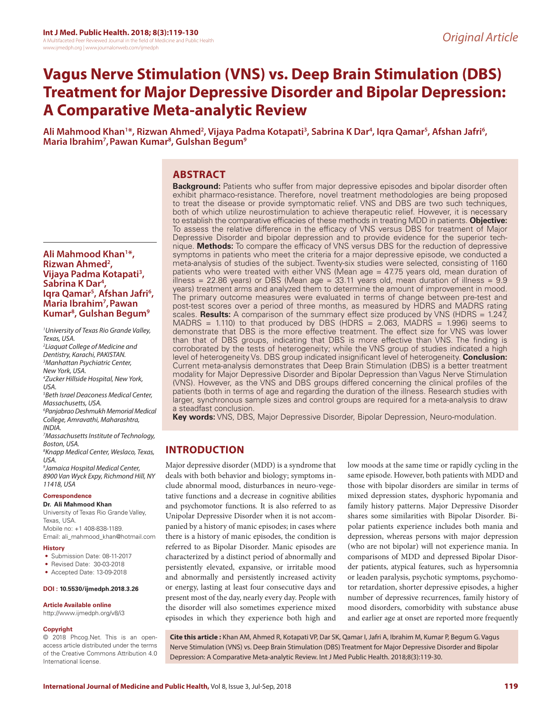# **Vagus Nerve Stimulation (VNS) vs. Deep Brain Stimulation (DBS) Treatment for Major Depressive Disorder and Bipolar Depression: A Comparative Meta-analytic Review**

Ali Mahmood Khan<sup>1</sup>\*, Rizwan Ahmed<sup>2</sup>, Vijaya Padma Kotapati<sup>3</sup>, Sabrina K Dar<sup>4</sup>, Iqra Qamar<sup>5</sup>, Afshan Jafri<sup>6</sup>,<br>Maria Ibrahim<sup>7</sup>, Pawan Kumar<sup>8</sup>, Gulshan Begum<sup>9</sup> **,Pawan Kumar8 , Gulshan Begum9**

# **ABSTRACT**

**Ali Mahmood Khan1 \*, Rizwan Ahmed2 , Vijaya Padma Kotapati3 , Sabrina K Dar4 ,**  Iqra Qamar<sup>5</sup>, Afshan Jafri<sup>6</sup>, **Maria Ibrahim7 ,Pawan Kumar8 , Gulshan Begum9**

*1 University of Texas Rio Grande Valley, Texas, USA.*

*2 Liaquat College of Medicine and Dentistry, Karachi, PAKISTAN. 3 Manhattan Psychiatric Center, New York, USA. 4 Zucker Hillside Hospital, New York, USA. 5 Beth Israel Deaconess Medical Center, Massachusetts, USA.*

*6 Panjabrao Deshmukh Memorial Medical College, Amravathi, Maharashtra, INDIA.*

*7 Massachusetts Institute of Technology, Boston, USA.*

*8 Knapp Medical Center, Weslaco, Texas, USA.*

*9 Jamaica Hospital Medical Center, 8900 Van Wyck Expy, Richmond Hill, NY 11418, USA*

#### **Correspondence**

**Dr. Ali Mahmood Khan** University of Texas Rio Grande Valley, Texas, USA. Mobile no: +1 408-838-1189.

Email: ali\_mahmood\_khan@hotmail.com

## **History**

- Submission Date: 08-11-2017
- Revised Date: 30-03-2018
- Accepted Date: 13-09-2018

## **DOI : 10.5530/ijmedph.2018.3.26**

#### **Article Available online**

http://www.ijmedph.org/v8/i3

#### **Copyright**

© 2018 Phcog.Net. This is an openaccess article distributed under the terms of the Creative Commons Attribution 4.0 International license.

**Background:** Patients who suffer from major depressive episodes and bipolar disorder often exhibit pharmaco-resistance. Therefore, novel treatment methodologies are being proposed to treat the disease or provide symptomatic relief. VNS and DBS are two such techniques, both of which utilize neurostimulation to achieve therapeutic relief. However, it is necessary to establish the comparative efficacies of these methods in treating MDD in patients. **Objective:** To assess the relative difference in the efficacy of VNS versus DBS for treatment of Major Depressive Disorder and bipolar depression and to provide evidence for the superior technique. **Methods:** To compare the efficacy of VNS versus DBS for the reduction of depressive symptoms in patients who meet the criteria for a major depressive episode, we conducted a meta-analysis of studies of the subject. Twenty-six studies were selected, consisting of 1160 patients who were treated with either VNS (Mean age = 47.75 years old, mean duration of illness = 22.86 years) or DBS (Mean age = 33.11 years old, mean duration of illness =  $9.9$ years) treatment arms and analyzed them to determine the amount of improvement in mood. The primary outcome measures were evaluated in terms of change between pre-test and post-test scores over a period of three months, as measured by HDRS and MADRS rating scales. **Results:** A comparison of the summary effect size produced by VNS (HDRS = 1.247, MADRS = 1.110) to that produced by DBS (HDRS = 2.063, MADRS = 1.996) seems to demonstrate that DBS is the more effective treatment. The effect size for VNS was lower than that of DBS groups, indicating that DBS is more effective than VNS. The finding is corroborated by the tests of heterogeneity; while the VNS group of studies indicated a high level of heterogeneity Vs. DBS group indicated insignificant level of heterogeneity. **Conclusion:** Current meta-analysis demonstrates that Deep Brain Stimulation (DBS) is a better treatment modality for Major Depressive Disorder and Bipolar Depression than Vagus Nerve Stimulation (VNS). However, as the VNS and DBS groups differed concerning the clinical profiles of the patients (both in terms of age and regarding the duration of the illness. Research studies with larger, synchronous sample sizes and control groups are required for a meta-analysis to draw a steadfast conclusion.

**Key words:** VNS, DBS, Major Depressive Disorder, Bipolar Depression, Neuro-modulation.

# **INTRODUCTION**

Major depressive disorder (MDD) is a syndrome that deals with both behavior and biology; symptoms include abnormal mood, disturbances in neuro-vegetative functions and a decrease in cognitive abilities and psychomotor functions. It is also referred to as Unipolar Depressive Disorder when it is not accompanied by a history of manic episodes; in cases where there is a history of manic episodes, the condition is referred to as Bipolar Disorder. Manic episodes are characterized by a distinct period of abnormally and persistently elevated, expansive, or irritable mood and abnormally and persistently increased activity or energy, lasting at least four consecutive days and present most of the day, nearly every day. People with the disorder will also sometimes experience mixed episodes in which they experience both high and

low moods at the same time or rapidly cycling in the same episode. However, both patients with MDD and those with bipolar disorders are similar in terms of mixed depression states, dysphoric hypomania and family history patterns. Major Depressive Disorder shares some similarities with Bipolar Disorder. Bipolar patients experience includes both mania and depression, whereas persons with major depression (who are not bipolar) will not experience mania. In comparisons of MDD and depressed Bipolar Disorder patients, atypical features, such as hypersomnia or leaden paralysis, psychotic symptoms, psychomotor retardation, shorter depressive episodes, a higher number of depressive recurrences, family history of mood disorders, comorbidity with substance abuse and earlier age at onset are reported more frequently

**Cite this article :** Khan AM, Ahmed R, Kotapati VP, Dar SK, Qamar I, Jafri A, Ibrahim M, Kumar P, Begum G. Vagus Nerve Stimulation (VNS) vs. Deep Brain Stimulation (DBS) Treatment for Major Depressive Disorder and Bipolar Depression: A Comparative Meta-analytic Review. Int J Med Public Health. 2018;8(3):119-30.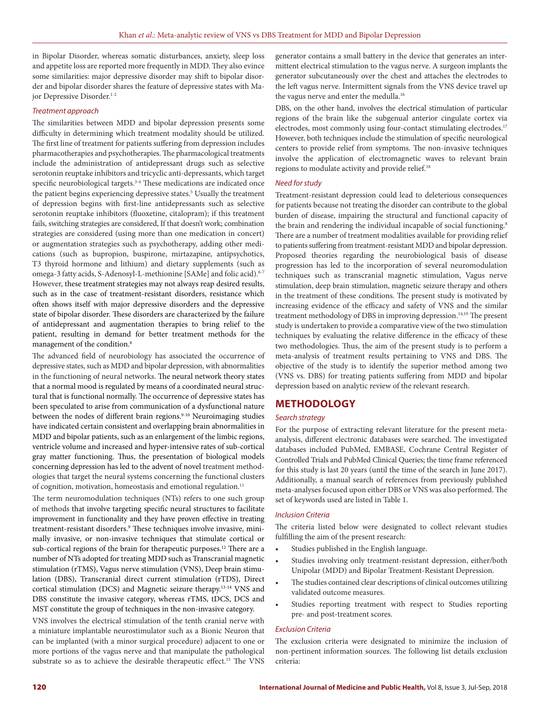in Bipolar Disorder, whereas somatic disturbances, anxiety, sleep loss and appetite loss are reported more frequently in MDD. They also evince some similarities: major depressive disorder may shift to bipolar disorder and bipolar disorder shares the feature of depressive states with Major Depressive Disorder.<sup>1-2</sup>

#### *Treatment approach*

The similarities between MDD and bipolar depression presents some difficulty in determining which treatment modality should be utilized. The first line of treatment for patients suffering from depression includes pharmacotherapies and psychotherapies. The pharmacological treatments include the administration of antidepressant drugs such as selective serotonin reuptake inhibitors and tricyclic anti-depressants, which target specific neurobiological targets.<sup>3-4</sup> These medications are indicated once the patient begins experiencing depressive states.<sup>5</sup> Usually the treatment of depression begins with first-line antidepressants such as selective serotonin reuptake inhibitors (fluoxetine, citalopram); if this treatment fails, switching strategies are considered, If that doesn't work; combination strategies are considered (using more than one medication in concert) or augmentation strategies such as psychotherapy, adding other medications (such as bupropion, buspirone, mirtazapine, antipsychotics, T3 thyroid hormone and lithium) and dietary supplements (such as omega-3 fatty acids, S-Adenosyl-L-methionine [SAMe] and folic acid).<sup>6-7</sup> However, these treatment strategies may not always reap desired results, such as in the case of treatment-resistant disorders, resistance which often shows itself with major depressive disorders and the depressive state of bipolar disorder. These disorders are characterized by the failure of antidepressant and augmentation therapies to bring relief to the patient, resulting in demand for better treatment methods for the management of the condition.8

The advanced field of neurobiology has associated the occurrence of depressive states, such as MDD and bipolar depression, with abnormalities in the functioning of neural networks. The neural network theory states that a normal mood is regulated by means of a coordinated neural structural that is functional normally. The occurrence of depressive states has been speculated to arise from communication of a dysfunctional nature between the nodes of different brain regions.<sup>9-10</sup> Neuroimaging studies have indicated certain consistent and overlapping brain abnormalities in MDD and bipolar patients, such as an enlargement of the limbic regions, ventricle volume and increased and hyper-intensive rates of sub-cortical gray matter functioning. Thus, the presentation of biological models concerning depression has led to the advent of novel treatment methodologies that target the neural systems concerning the functional clusters of cognition, motivation, homeostasis and emotional regulation.<sup>11</sup>

The term neuromodulation techniques (NTs) refers to one such group of methods that involve targeting specific neural structures to facilitate improvement in functionality and they have proven effective in treating treatment-resistant disorders.<sup>9</sup> These techniques involve invasive, minimally invasive, or non-invasive techniques that stimulate cortical or sub-cortical regions of the brain for therapeutic purposes.<sup>12</sup> There are a number of NTs adopted for treating MDD such as Transcranial magnetic stimulation (rTMS), Vagus nerve stimulation (VNS), Deep brain stimulation (DBS), Transcranial direct current stimulation (rTDS), Direct cortical stimulation (DCS) and Magnetic seizure therapy.13-14 VNS and DBS constitute the invasive category, whereas rTMS, tDCS, DCS and MST constitute the group of techniques in the non-invasive category.

VNS involves the electrical stimulation of the tenth cranial nerve with a miniature implantable neurostimulator such as a Bionic Neuron that can be implanted (with a minor surgical procedure) adjacent to one or more portions of the vagus nerve and that manipulate the pathological substrate so as to achieve the desirable therapeutic effect.<sup>15</sup> The VNS

generator contains a small battery in the device that generates an intermittent electrical stimulation to the vagus nerve. A surgeon implants the generator subcutaneously over the chest and attaches the electrodes to the left vagus nerve. Intermittent signals from the VNS device travel up the vagus nerve and enter the medulla.<sup>16</sup>

DBS, on the other hand, involves the electrical stimulation of particular regions of the brain like the subgenual anterior cingulate cortex via electrodes, most commonly using four-contact stimulating electrodes.<sup>17</sup> However, both techniques include the stimulation of specific neurological centers to provide relief from symptoms. The non-invasive techniques involve the application of electromagnetic waves to relevant brain regions to modulate activity and provide relief.18

#### *Need for study*

Treatment-resistant depression could lead to deleterious consequences for patients because not treating the disorder can contribute to the global burden of disease, impairing the structural and functional capacity of the brain and rendering the individual incapable of social functioning.<sup>8</sup> There are a number of treatment modalities available for providing relief to patients suffering from treatment-resistant MDD and bipolar depression. Proposed theories regarding the neurobiological basis of disease progression has led to the incorporation of several neuromodulation techniques such as transcranial magnetic stimulation, Vagus nerve stimulation, deep brain stimulation, magnetic seizure therapy and others in the treatment of these conditions. The present study is motivated by increasing evidence of the efficacy and safety of VNS and the similar treatment methodology of DBS in improving depression.<sup>14,19</sup> The present study is undertaken to provide a comparative view of the two stimulation techniques by evaluating the relative difference in the efficacy of these two methodologies. Thus, the aim of the present study is to perform a meta-analysis of treatment results pertaining to VNS and DBS. The objective of the study is to identify the superior method among two (VNS vs. DBS) for treating patients suffering from MDD and bipolar depression based on analytic review of the relevant research.

## **METHODOLOGY**

#### *Search strategy*

For the purpose of extracting relevant literature for the present metaanalysis, different electronic databases were searched. The investigated databases included PubMed, EMBASE, Cochrane Central Register of Controlled Trials and PubMed Clinical Queries; the time frame referenced for this study is last 20 years (until the time of the search in June 2017). Additionally, a manual search of references from previously published meta-analyses focused upon either DBS or VNS was also performed. The set of keywords used are listed in Table 1.

#### *Inclusion Criteria*

The criteria listed below were designated to collect relevant studies fulfilling the aim of the present research:

- Studies published in the English language.
- Studies involving only treatment-resistant depression, either/both Unipolar (MDD) and Bipolar Treatment-Resistant Depression.
- The studies contained clear descriptions of clinical outcomes utilizing validated outcome measures.
- Studies reporting treatment with respect to Studies reporting pre- and post-treatment scores.

#### *Exclusion Criteria*

The exclusion criteria were designated to minimize the inclusion of non-pertinent information sources. The following list details exclusion criteria: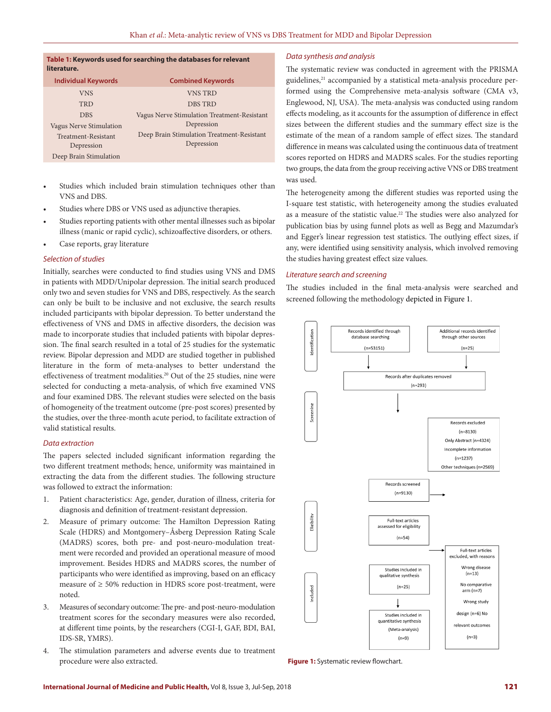#### **Table 1: Keywords used for searching the databases for relevant literature.**

| <b>Individual Keywords</b> | <b>Combined Keywords</b>                    |
|----------------------------|---------------------------------------------|
| <b>VNS</b>                 | <b>VNS TRD</b>                              |
| TRD                        | <b>DBS TRD</b>                              |
| <b>DBS</b>                 | Vagus Nerve Stimulation Treatment-Resistant |
| Vagus Nerve Stimulation    | Depression                                  |
| Treatment-Resistant        | Deep Brain Stimulation Treatment-Resistant  |
| Depression                 | Depression                                  |
| Deep Brain Stimulation     |                                             |

- Studies which included brain stimulation techniques other than VNS and DBS.
- Studies where DBS or VNS used as adjunctive therapies.
- Studies reporting patients with other mental illnesses such as bipolar illness (manic or rapid cyclic), schizoaffective disorders, or others.
- Case reports, gray literature

#### *Selection of studies*

Initially, searches were conducted to find studies using VNS and DMS in patients with MDD/Unipolar depression. The initial search produced only two and seven studies for VNS and DBS, respectively. As the search can only be built to be inclusive and not exclusive, the search results included participants with bipolar depression. To better understand the effectiveness of VNS and DMS in affective disorders, the decision was made to incorporate studies that included patients with bipolar depression. The final search resulted in a total of 25 studies for the systematic review. Bipolar depression and MDD are studied together in published literature in the form of meta-analyses to better understand the effectiveness of treatment modalities.<sup>20</sup> Out of the 25 studies, nine were selected for conducting a meta-analysis, of which five examined VNS and four examined DBS. The relevant studies were selected on the basis of homogeneity of the treatment outcome (pre-post scores) presented by the studies, over the three-month acute period, to facilitate extraction of valid statistical results.

#### *Data extraction*

The papers selected included significant information regarding the two different treatment methods; hence, uniformity was maintained in extracting the data from the different studies. The following structure was followed to extract the information:

- 1. Patient characteristics: Age, gender, duration of illness, criteria for diagnosis and definition of treatment-resistant depression.
- 2. Measure of primary outcome: The Hamilton Depression Rating Scale (HDRS) and Montgomery–Åsberg Depression Rating Scale (MADRS) scores, both pre- and post-neuro-modulation treatment were recorded and provided an operational measure of mood improvement. Besides HDRS and MADRS scores, the number of participants who were identified as improving, based on an efficacy measure of  $\geq 50\%$  reduction in HDRS score post-treatment, were noted.
- 3. Measures of secondary outcome: The pre- and post-neuro-modulation treatment scores for the secondary measures were also recorded, at different time points, by the researchers (CGI-I, GAF, BDI, BAI, IDS-SR, YMRS).
- 4. The stimulation parameters and adverse events due to treatment procedure were also extracted.

#### *Data synthesis and analysis*

The systematic review was conducted in agreement with the PRISMA guidelines,<sup>21</sup> accompanied by a statistical meta-analysis procedure performed using the Comprehensive meta-analysis software (CMA v3, Englewood, NJ, USA). The meta-analysis was conducted using random effects modeling, as it accounts for the assumption of difference in effect sizes between the different studies and the summary effect size is the estimate of the mean of a random sample of effect sizes. The standard difference in means was calculated using the continuous data of treatment scores reported on HDRS and MADRS scales. For the studies reporting two groups, the data from the group receiving active VNS or DBS treatment was used.

The heterogeneity among the different studies was reported using the I-square test statistic, with heterogeneity among the studies evaluated as a measure of the statistic value.<sup>22</sup> The studies were also analyzed for publication bias by using funnel plots as well as Begg and Mazumdar's and Egger's linear regression test statistics. The outlying effect sizes, if any, were identified using sensitivity analysis, which involved removing the studies having greatest effect size values.

#### *Literature search and screening*

The studies included in the final meta-analysis were searched and screened following the methodology depicted in Figure 1.



**Figure 1:** Systematic review flowchart.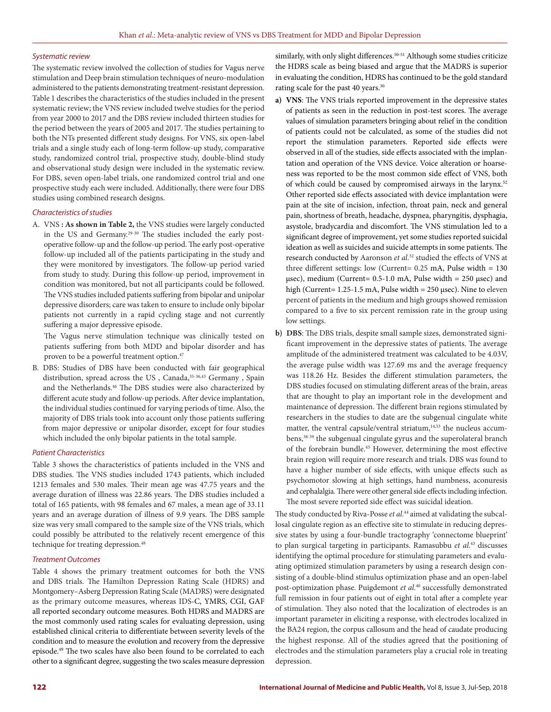#### *Systematic review*

The systematic review involved the collection of studies for Vagus nerve stimulation and Deep brain stimulation techniques of neuro-modulation administered to the patients demonstrating treatment-resistant depression. Table 1 describes the characteristics of the studies included in the present systematic review; the VNS review included twelve studies for the period from year 2000 to 2017 and the DBS review included thirteen studies for the period between the years of 2005 and 2017. The studies pertaining to both the NTs presented different study designs. For VNS, six open-label trials and a single study each of long-term follow-up study, comparative study, randomized control trial, prospective study, double-blind study and observational study design were included in the systematic review. For DBS, seven open-label trials, one randomized control trial and one prospective study each were included. Additionally, there were four DBS studies using combined research designs.

#### *Characteristics of studies*

A. VNS **: As shown in Table 2,** the VNS studies were largely conducted in the US and Germany.<sup>29-30</sup> The studies included the early postoperative follow-up and the follow-up period. The early post-operative follow-up included all of the patients participating in the study and they were monitored by investigators. The follow-up period varied from study to study. During this follow-up period, improvement in condition was monitored, but not all participants could be followed. The VNS studies included patients suffering from bipolar and unipolar depressive disorders; care was taken to ensure to include only bipolar patients not currently in a rapid cycling stage and not currently suffering a major depressive episode.

 The Vagus nerve stimulation technique was clinically tested on patients suffering from both MDD and bipolar disorder and has proven to be a powerful treatment option.<sup>47</sup>

B. DBS: Studies of DBS have been conducted with fair geographical distribution, spread across the US, Canada, 35-36,43 Germany, Spain and the Netherlands.46 The DBS studies were also characterized by different acute study and follow-up periods. After device implantation, the individual studies continued for varying periods of time. Also, the majority of DBS trials took into account only those patients suffering from major depressive or unipolar disorder, except for four studies which included the only bipolar patients in the total sample.

#### *Patient Characteristics*

Table 3 shows the characteristics of patients included in the VNS and DBS studies. The VNS studies included 1743 patients, which included 1213 females and 530 males. Their mean age was 47.75 years and the average duration of illness was 22.86 years. The DBS studies included a total of 165 patients, with 98 females and 67 males, a mean age of 33.11 years and an average duration of illness of 9.9 years. The DBS sample size was very small compared to the sample size of the VNS trials, which could possibly be attributed to the relatively recent emergence of this technique for treating depression.<sup>48</sup>

#### *Treatment Outcomes*

Table 4 shows the primary treatment outcomes for both the VNS and DBS trials. The Hamilton Depression Rating Scale (HDRS) and Montgomery–Asberg Depression Rating Scale (MADRS) were designated as the primary outcome measures, whereas IDS-C, YMRS, CGI, GAF all reported secondary outcome measures. Both HDRS and MADRS are the most commonly used rating scales for evaluating depression, using established clinical criteria to differentiate between severity levels of the condition and to measure the evolution and recovery from the depressive episode.49 The two scales have also been found to be correlated to each other to a significant degree, suggesting the two scales measure depression

similarly, with only slight differences.<sup>50-51</sup> Although some studies criticize the HDRS scale as being biased and argue that the MADRS is superior in evaluating the condition, HDRS has continued to be the gold standard rating scale for the past 40 years.<sup>30</sup>

- **a) VNS**: The VNS trials reported improvement in the depressive states of patients as seen in the reduction in post-test scores. The average values of simulation parameters bringing about relief in the condition of patients could not be calculated, as some of the studies did not report the stimulation parameters. Reported side effects were observed in all of the studies, side effects associated with the implantation and operation of the VNS device. Voice alteration or hoarseness was reported to be the most common side effect of VNS, both of which could be caused by compromised airways in the larynx.52 Other reported side effects associated with device implantation were pain at the site of incision, infection, throat pain, neck and general pain, shortness of breath, headache, dyspnea, pharyngitis, dysphagia, asystole, bradycardia and discomfort. The VNS stimulation led to a significant degree of improvement, yet some studies reported suicidal ideation as well as suicides and suicide attempts in some patients. The research conducted by Aaronson *et al*. 32 studied the effects of VNS at three different settings: low (Current=  $0.25$  mA, Pulse width =  $130$ μsec), medium (Current=  $0.5$ -1.0 mA, Pulse width = 250 μsec) and high (Current= 1.25-1.5 mA, Pulse width = 250 μsec). Nine to eleven percent of patients in the medium and high groups showed remission compared to a five to six percent remission rate in the group using low settings.
- **b) DBS**: The DBS trials, despite small sample sizes, demonstrated significant improvement in the depressive states of patients. The average amplitude of the administered treatment was calculated to be 4.03V, the average pulse width was 127.69 ms and the average frequency was 118.26 Hz. Besides the different stimulation parameters, the DBS studies focused on stimulating different areas of the brain, areas that are thought to play an important role in the development and maintenance of depression. The different brain regions stimulated by researchers in the studies to date are the subgenual cingulate white matter, the ventral capsule/ventral striatum,<sup>14,53</sup> the nucleus accumbens,38-39 the subgenual cingulate gyrus and the superolateral branch of the forebrain bundle.45 However, determining the most effective brain region will require more research and trials. DBS was found to have a higher number of side effects, with unique effects such as psychomotor slowing at high settings, hand numbness, aconuresis and cephalalgia. There were other general side effects including infection. The most severe reported side effect was suicidal ideation.

The study conducted by Riva-Posse *et al*. 44 aimed at validating the subcallosal cingulate region as an effective site to stimulate in reducing depressive states by using a four-bundle tractography 'connectome blueprint' to plan surgical targeting in participants. Ramasubbu *et al*. 43 discusses identifying the optimal procedure for stimulating parameters and evaluating optimized stimulation parameters by using a research design consisting of a double-blind stimulus optimization phase and an open-label post-optimization phase. Puigdemont *et al*. 40 successfully demonstrated full remission in four patients out of eight in total after a complete year of stimulation. They also noted that the localization of electrodes is an important parameter in eliciting a response, with electrodes localized in the BA24 region, the corpus callosum and the head of caudate producing the highest response. All of the studies agreed that the positioning of electrodes and the stimulation parameters play a crucial role in treating depression.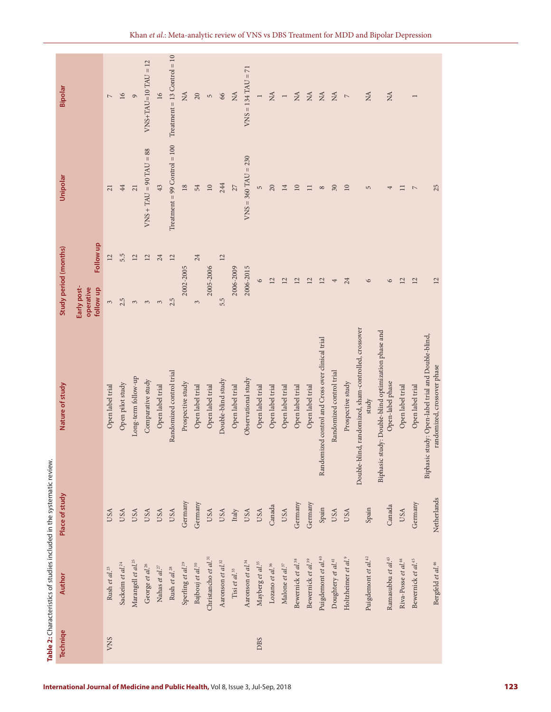| <b>Techniqe</b> | Author                                | Place of study | Nature of study                                                                   | Study period (months)                 |           | Unipolar                       | Bipolar                                       |
|-----------------|---------------------------------------|----------------|-----------------------------------------------------------------------------------|---------------------------------------|-----------|--------------------------------|-----------------------------------------------|
|                 |                                       |                |                                                                                   | Early post-<br>operative<br>follow up | Follow up |                                |                                               |
| VNS             | Rush et al. <sup>23</sup>             | USA            | Open label trial                                                                  | $\sim$                                | 12        | 21                             | $\mathord{\hspace{1pt}\text{--}\hspace{1pt}}$ |
|                 | Sackeim et al. <sup>24</sup>          | <b>USA</b>     | Open pilot study                                                                  | 2.5                                   | 5.5       | 44                             | 16                                            |
|                 | Marangell et al. <sup>25</sup>        | USA            | Long-term follow-up                                                               | $\mathfrak{S}$                        | 12        | 21                             | $\circ$                                       |
|                 | George et al. <sup>26</sup>           | USA            | Comparative study                                                                 | 3                                     | $12\,$    | $VNS + TAU = 90 TAU = 88$      | $VNS+TAU=10 TAU = 12$                         |
|                 | Nahas et al. $^{27}$                  | USA            | Open label trial                                                                  | 3                                     | 24        | 43                             | 16                                            |
|                 | Rush et al. <sup>28</sup>             | USA            | Randomized control trial                                                          | 2.5                                   | 12        | $Treatment = 99 Control = 100$ | Treatment = $13$ Control = $10$               |
|                 | Sperling et al. <sup>29</sup>         | Germany        | Prospective study                                                                 | 2002-2005                             |           | $18\,$                         | $\mathbb{A}$                                  |
|                 | Bajbouj et al. <sup>30</sup>          | Germany        | Open label trial                                                                  | $\mathfrak{S}$                        | 24        | 54                             | 20                                            |
|                 | Christancho et al. <sup>31</sup>      | USA            | Open label trial                                                                  | 2005-2006                             |           | $10\,$                         | $\mathsf{L}\cap$                              |
|                 | Aaronson et al. <sup>32</sup>         | <b>USA</b>     | Double-blind study                                                                | 5.5                                   | 12        | 244                            | 66                                            |
|                 | Tisi et al. $^{\rm 33}$               | Italy          | Open label trial                                                                  | 2006-2009                             |           | 27                             | $\rm \stackrel{A}{\sim}$                      |
|                 | Aaronson et al. <sup>34</sup>         | USA            | Observational study                                                               | 2006-2015                             |           | $VNS = 360$ TAU = 230          | $VNS = 134$ TAU = 71                          |
| <b>DBS</b>      | Mayberg et al. <sup>35</sup>          | USA            | Open label trial                                                                  | $\circ$                               |           | $\mathsf{L}\cap$               | $\overline{ }$                                |
|                 | Lozano et al. $^{36}$                 | Canada         | Open label trial                                                                  | 12                                    |           | 20                             | $\rm \stackrel{AA}{\geq}$                     |
|                 | Malone et al. $\boldsymbol{\delta}^7$ | <b>USA</b>     | Open label trial                                                                  | 12                                    |           | 14                             | $\overline{a}$                                |
|                 | Bewernick et al. <sup>38</sup>        | Germany        | Open label trial                                                                  | 12                                    |           | $10\,$                         | $\lesssim$                                    |
|                 | Bewernick et al. <sup>39</sup>        | Germany        | Open label trial                                                                  | 12                                    |           | $\Box$                         | $\rm NA$                                      |
|                 | Puigdemont et al. <sup>40</sup>       | Spain          | Randomized control and Cross over clinical trial                                  | 12                                    |           | $\infty$                       | $\rm _{NA}$                                   |
|                 | Doughtery et al. <sup>41</sup>        | USA            | Randomized control trial                                                          | 4                                     |           | $30\,$                         | $\rm _{NA}$                                   |
|                 | Holtzheimer et al. <sup>9</sup>       | <b>USA</b>     | Prospective study                                                                 | 24                                    |           | $10\,$                         | $\mathord{\sim}$                              |
|                 | Puigdemont et al. <sup>42</sup>       | Spain          | Double-blind, randomized, sham-controlled, crossover<br>study                     | $\circ$                               |           | 5                              | $\lesssim$                                    |
|                 | Ramasubbu et al. <sup>43</sup>        | Canada         | Biphasic study: Double-blind optimization phase and<br>Open-label phase           | 6                                     |           | 4                              | $\stackrel{\Delta}{\approx}$                  |
|                 | Riva-Posse et al. <sup>44</sup>       | USA            | Open label trial                                                                  | 12                                    |           | $\Box$                         |                                               |
|                 | Bewernick et al. <sup>45</sup>        | Germany        | Open label trial                                                                  | 12                                    |           | $\overline{\phantom{a}}$       | $\overline{ }$                                |
|                 | Bergfeld et al. <sup>46</sup>         | Netherlands    | Biphasic study: Open-label trial and Double-blind,<br>randomized, crossover phase | 12                                    |           | 25                             |                                               |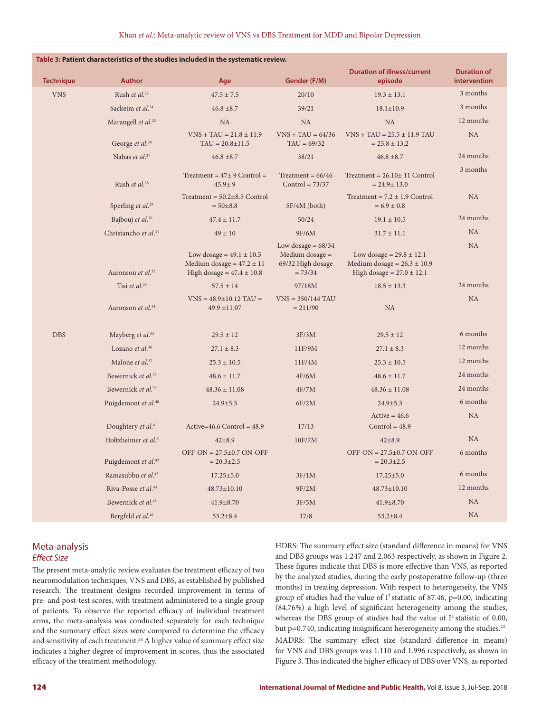|                  |                                      | Table 3: Patient characteristics of the studies included in the systematic review.             |                                                                             |                                                                                                  |                                    |
|------------------|--------------------------------------|------------------------------------------------------------------------------------------------|-----------------------------------------------------------------------------|--------------------------------------------------------------------------------------------------|------------------------------------|
| <b>Technique</b> | <b>Author</b>                        | Age                                                                                            | Gender (F/M)                                                                | <b>Duration of illness/current</b><br>episode                                                    | <b>Duration of</b><br>intervention |
| <b>VNS</b>       | Rush et al. <sup>23</sup>            | $47.5 \pm 7.5$                                                                                 | 20/10                                                                       | $19.3 \pm 13.1$                                                                                  | 3 months                           |
|                  | Sackeim et al. <sup>24</sup>         | $46.8 \pm 8.7$                                                                                 | 39/21                                                                       | $18.1 \pm 10.9$                                                                                  | 3 months                           |
|                  | Marangell et al. <sup>25</sup>       | <b>NA</b>                                                                                      | <b>NA</b>                                                                   | <b>NA</b>                                                                                        | 12 months                          |
|                  | George et al. <sup>26</sup>          | $VNS + TAU = 21.8 \pm 11.9$<br>$TAU = 20.8 \pm 11.5$                                           | $VNS + TAU = 64/36$<br>$TAU = 69/32$                                        | $VNS + TAU = 25.5 \pm 11.9$ TAU<br>$= 25.8 \pm 13.2$                                             | <b>NA</b>                          |
|                  | Nahas et al. <sup>27</sup>           | $46.8 \pm 8.7$                                                                                 | 38/21                                                                       | $46.8 \pm 8.7$                                                                                   | 24 months                          |
|                  | Rush et al. <sup>28</sup>            | Treatment = $47\pm 9$ Control =<br>$45.9 \pm 9$                                                | Treatment = $66/46$<br>$Control = 73/37$                                    | Treatment = $26.10 \pm 11$ Control<br>$= 24.9 \pm 13.0$                                          | 3 months                           |
|                  | Sperling <i>et al.</i> <sup>29</sup> | Treatment = $50.2 \pm 8.5$ Control<br>$= 50 \pm 8.8$                                           | $5F/4M$ (both)                                                              | Treatment = $7.2 \pm 1.9$ Control<br>$= 6.9 \pm 0.8$                                             | <b>NA</b>                          |
|                  | Bajbouj et al. <sup>30</sup>         | $47.4 \pm 11.7$                                                                                | 50/24                                                                       | $19.1 \pm 10.5$                                                                                  | 24 months                          |
|                  | Christancho et al. <sup>31</sup>     | $49 \pm 10$                                                                                    | 9F/6M                                                                       | $31.7 \pm 11.1$                                                                                  | NA                                 |
|                  | Aaronson et al. <sup>32</sup>        | Low dosage = $49.1 \pm 10.5$<br>Medium dosage = $47.2 \pm 11$<br>High dosage = $47.4 \pm 10.8$ | Low dosage $= 68/34$<br>Medium dosage $=$<br>69/32 High dosage<br>$= 73/34$ | Low dosage = $29.8 \pm 12.1$<br>Medium dosage = $26.3 \pm 10.9$<br>High dosage = $27.0 \pm 12.1$ | <b>NA</b>                          |
|                  | Tisi et al. <sup>33</sup>            | $57.5 \pm 14$                                                                                  | 9F/18M                                                                      | $18.5 \pm 13.3$                                                                                  | 24 months                          |
|                  | Aaronson et al. <sup>34</sup>        | $VNS = 48.9 \pm 10.12$ TAU =<br>49.9 ±11.07                                                    | $VNS = 350/144$ TAU<br>$= 211/90$                                           | <b>NA</b>                                                                                        | <b>NA</b>                          |
| <b>DBS</b>       | Mayberg et al. <sup>35</sup>         | $29.5 \pm 12$                                                                                  | 3F/3M                                                                       | $29.5 \pm 12$                                                                                    | 6 months                           |
|                  | Lozano et al. <sup>36</sup>          | $27.1 \pm 8.3$                                                                                 | 11F/9M                                                                      | $27.1 \pm 8.3$                                                                                   | 12 months                          |
|                  | Malone et al. <sup>37</sup>          | $25.3 \pm 10.5$                                                                                | 11F/4M                                                                      | $25.3 \pm 10.5$                                                                                  | 12 months                          |
|                  | Bewernick et al. <sup>38</sup>       | $48.6 \pm 11.7$                                                                                | 4F/6M                                                                       | $48.6 \pm 11.7$                                                                                  | 24 months                          |
|                  | Bewernick et al. <sup>39</sup>       | $48.36 \pm 11.08$                                                                              | 4F/7M                                                                       | $48.36 \pm 11.08$                                                                                | 24 months                          |
|                  | Puigdemont et al. <sup>40</sup>      | $24.9 \pm 5.3$                                                                                 | 6F/2M                                                                       | $24.9 \pm 5.3$                                                                                   | 6 months                           |
|                  | Doughtery et al. <sup>41</sup>       | Active= $46.6$ Control = $48.9$                                                                | 17/13                                                                       | $Active = 46.6$<br>$Control = 48.9$                                                              | <b>NA</b>                          |
|                  | Holtzheimer et al. <sup>9</sup>      | $42 \pm 8.9$                                                                                   | 10F/7M                                                                      | $42 \pm 8.9$                                                                                     | <b>NA</b>                          |
|                  | Puigdemont et al. <sup>42</sup>      | $OFF-ON = 27.5 \pm 0.7 ON-OFF$<br>$= 20.3 \pm 2.5$                                             |                                                                             | $OFF-ON = 27.5 \pm 0.7$ ON-OFF<br>$= 20.3 \pm 2.5$                                               | 6 months                           |
|                  | Ramasubbu et al. <sup>43</sup>       | $17.25 \pm 5.0$                                                                                | 3F/1M                                                                       | $17.25 \pm 5.0$                                                                                  | 6 months                           |
|                  | Riva-Posse et al. <sup>44</sup>      | 48.73±10.10                                                                                    | 9F/2M                                                                       | $48.73 \pm 10.10$                                                                                | 12 months                          |
|                  | Bewernick et al. <sup>45</sup>       | $41.9 \pm 8.70$                                                                                | 3F/5M                                                                       | $41.9 \pm 8.70$                                                                                  | <b>NA</b>                          |
|                  | Bergfeld et al. <sup>46</sup>        | $53.2 \pm 8.4$                                                                                 | 17/8                                                                        | $53.2 \pm 8.4$                                                                                   | <b>NA</b>                          |

## Meta-analysis *Effect Size*

The present meta-analytic review evaluates the treatment efficacy of two neuromodulation techniques, VNS and DBS, as established by published research. The treatment designs recorded improvement in terms of pre- and post-test scores, with treatment administered to a single group of patients. To observe the reported efficacy of individual treatment arms, the meta-analysis was conducted separately for each technique and the summary effect sizes were compared to determine the efficacy and sensitivity of each treatment.<sup>54</sup> A higher value of summary effect size indicates a higher degree of improvement in scores, thus the associated efficacy of the treatment methodology.

HDRS: The summary effect size (standard difference in means) for VNS and DBS groups was 1.247 and 2.063 respectively, as shown in Figure 2. These figures indicate that DBS is more effective than VNS, as reported by the analyzed studies, during the early postoperative follow-up (three months) in treating depression. With respect to heterogeneity, the VNS group of studies had the value of  $I^2$  statistic of 87.46, p=0.00, indicating (84.76%) a high level of significant heterogeneity among the studies, whereas the DBS group of studies had the value of  $I<sup>2</sup>$  statistic of 0.00, but  $p=0.740$ , indicating insignificant heterogeneity among the studies.<sup>22</sup> MADRS: The summary effect size (standard difference in means) for VNS and DBS groups was 1.110 and 1.996 respectively, as shown in Figure 3. This indicated the higher efficacy of DBS over VNS, as reported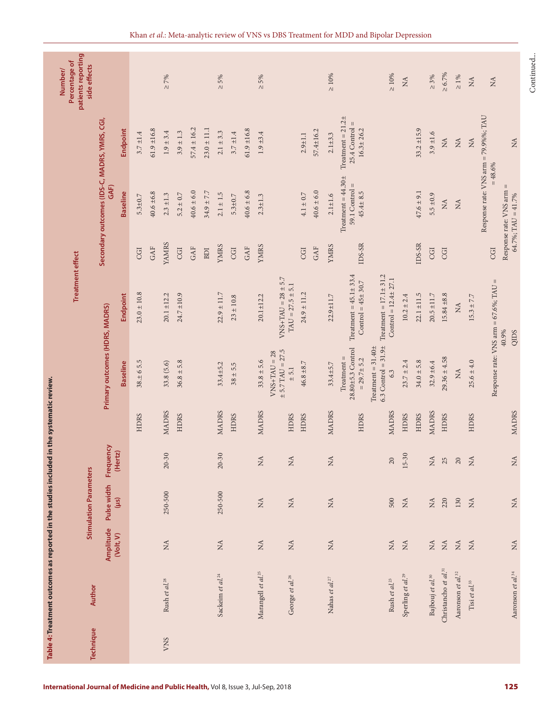|                  |                                  |                                          | <b>Stimulation Parameters</b>   |                                 |              |                                                                           | <b>Treatment effect</b>                                  |                      |                                                              |                                                              | patients reporting<br>Percentage of<br>side effects<br>Number/ |
|------------------|----------------------------------|------------------------------------------|---------------------------------|---------------------------------|--------------|---------------------------------------------------------------------------|----------------------------------------------------------|----------------------|--------------------------------------------------------------|--------------------------------------------------------------|----------------------------------------------------------------|
| <b>Technique</b> | Author                           | Amplitude                                | Pulse width                     | Frequency                       |              | Primary outcomes (HDRS, MADRS)                                            |                                                          |                      | Secondary outcomes (IDS-C, MADRS, YMRS, CGI,<br>GAF)         |                                                              |                                                                |
|                  |                                  | (Volt, V)                                | $\overline{\text{m}}$           | (Hertz)                         |              | <b>Baseline</b>                                                           | Endpoint                                                 |                      | Baseline                                                     | Endpoint                                                     |                                                                |
|                  |                                  |                                          |                                 |                                 | <b>HDRS</b>  | $38. \pm 65.5$                                                            | $23.0 \pm 10.8$                                          | CGI                  | $5.3 + 0.7$                                                  | $3.7 \pm 1.4$                                                |                                                                |
|                  |                                  |                                          |                                 |                                 |              |                                                                           |                                                          | $\mathsf{GAF}$       | $40.6 \pm 6.8$                                               | $61.9 \pm 16.8$                                              |                                                                |
| VNS              | Rush et al. <sup>28</sup>        | $\stackrel{\Delta}{\approx}$             | 250-500                         | $20 - 30$                       | <b>MADRS</b> | 33.8(5.6)                                                                 | $20.1 \pm 12.2$                                          | <b>YAMRS</b>         | $2.3 \pm 1.3$                                                | $1.9\pm3.4$                                                  | $> 7\%$                                                        |
|                  |                                  |                                          |                                 |                                 | HDRS         | $36.8 \pm 5.8$                                                            | $24.7 \pm 10.9$                                          | CGI                  | $5.2 \pm 0.7$                                                | $3.9 \pm 1.3$                                                |                                                                |
|                  |                                  |                                          |                                 |                                 |              |                                                                           |                                                          | GAF                  | $40.6 \pm 6.0$                                               | $57.4 \pm 16.2$                                              |                                                                |
|                  |                                  |                                          |                                 |                                 |              |                                                                           |                                                          | $\operatorname{BDI}$ | $34.9 \pm 7.7$                                               | $23.0 \pm 11.1$                                              |                                                                |
|                  | Sackeim et al. <sup>24</sup>     | $\stackrel{\triangle}{\approx}$          | 250-500                         | $20 - 30$                       | <b>MADRS</b> | $33.4 + 5.2$                                                              | $22.9 \pm 11.7$                                          | <b>YMRS</b>          | $2.1\pm1.5$                                                  | $2.1 \pm 3.3$                                                | $\geq 5\%$                                                     |
|                  |                                  |                                          |                                 |                                 | <b>HDRS</b>  | $38 \pm 5.5$                                                              | $23 \pm 10.8$                                            | CGI                  | $5.3 + 0.7$                                                  | $3.7 \pm 1.4$                                                |                                                                |
|                  |                                  |                                          |                                 |                                 |              |                                                                           |                                                          | GAF                  | $40.6 \pm 6.8$                                               | $61.9 \pm 16.8$                                              |                                                                |
|                  | Marangell et al. <sup>25</sup>   | $\stackrel{\Delta}{\simeq}$              | $\stackrel{\Delta}{\simeq}$     | $\stackrel{\Delta}{\simeq}$     | <b>MADRS</b> | $33.8 \pm 5.6$                                                            | $20.1 \pm 12.2$                                          | <b>YMRS</b>          | $2.3 \pm 1.3$                                                | $1.9 + 3.4$                                                  | $\geq 5\%$                                                     |
|                  | George et al. <sup>26</sup>      | $\stackrel{\Delta}{\simeq}$              | $\stackrel{\Delta}{\simeq}$     | $\lesssim$                      | <b>HDRS</b>  | $\pm$ 5.7 TAU = 27.5<br>$VNS+TAU = 28$<br>$\pm$ 5.1                       | $VNS+TAU = 28 \pm 5.7$<br>$TAU = 27.5 \pm 5.1$           |                      |                                                              |                                                              |                                                                |
|                  |                                  |                                          |                                 |                                 | <b>HDRS</b>  | $46.8 \pm 8.7$                                                            | $24.9 \pm 11.2$                                          | CGI                  | $4.1 \pm 0.7$                                                | $2.9 + 1.1$                                                  |                                                                |
|                  |                                  |                                          |                                 |                                 |              |                                                                           |                                                          | GAF                  | $40.6 \pm 6.0$                                               | 57.4±16.2                                                    |                                                                |
|                  | Nahas et al. $^{27}$             | $\lesssim$                               | $\rm _{NA}$                     | $\rm \stackrel{A}{\simeq}$      | <b>MADRS</b> | 33.4±5.7                                                                  | $22.9 \pm 11.7$                                          | <b>YMRS</b>          | $2.1 + 1.6$                                                  | $2.1 + 3.3$                                                  | $\geq 10\%$                                                    |
|                  |                                  |                                          |                                 |                                 | <b>HDRS</b>  | 28.80±5.3 Control<br>$\label{eq:1} {\rm Treatment} =$<br>$= 29.7 \pm 5.2$ | Treatment = $45.1 \pm 33.4$<br>Control = $45\pm 30.7$    | $IDS-SR$             | Treatment = $44.30\pm$<br>59.1 Control $=$<br>$45.4 \pm 8.5$ | Treatment = $21.2\pm$<br>$25.4$ Control =<br>$16.3 \pm 26.2$ |                                                                |
|                  | Rush et al. <sup>23</sup>        | $\stackrel{\Delta}{\simeq}$              | 500                             | $20\,$                          | MADRS        | $6.3$ Control = $31.9\pm$<br>Treatment = $31.40\pm$<br>6.3                | Treatment = $17.1 \pm 31.2$<br>$Control = 12.4 \pm 27.1$ |                      |                                                              |                                                              | $\geq 10\%$                                                    |
|                  | Sperling et al. <sup>29</sup>    | $\stackrel{\Delta}{\simeq}$              | $\stackrel{\Delta}{\approx}$    | $15 - 30$                       | HDRS         | $23.7 \pm 2.4$                                                            | $10.2 \pm 2.4$                                           |                      |                                                              |                                                              | $\tilde{A}$                                                    |
|                  |                                  |                                          |                                 |                                 | <b>HDRS</b>  | $34.0 \pm 5.8$                                                            | $22.1 \pm 11.5$                                          | $IDS-SR$             | $47.6 \pm 9.1$                                               | $33.2 \pm 15.9$                                              |                                                                |
|                  | Bajbouj et al. <sup>30</sup>     | $\lesssim$                               | $\rm \stackrel{\Delta}{\Sigma}$ | $\rm _{NA}$                     | <b>MADRS</b> | $32.9 \pm 6.4$                                                            | $20.5 \pm 11.7$                                          | CGI                  | $5.5 \pm 0.9$                                                | $3.9 + 1.6$                                                  | $\geq 3\%$                                                     |
|                  | Christancho et al. <sup>31</sup> | $\stackrel{\triangle}{\scriptstyle\sim}$ | 220                             | 25                              | <b>HDRS</b>  | $29.36 \pm 4.58$                                                          | $15.84 \pm 8.8$                                          | CGI                  | $\widetilde{\Sigma}$                                         | $\tilde{P}$                                                  | $\ge 6.7\%$                                                    |
|                  | Aaronson et al. <sup>32</sup>    | $\stackrel{\Delta}{\simeq}$              | 130                             | $20\,$                          |              | $\mathop{\rm NA}\nolimits$                                                | $\tilde{\mathbf{z}}$                                     |                      | $\stackrel{\triangle}{\Sigma}$                               | $\stackrel{\triangle}{\Sigma}$                               | $\geq 1\%$                                                     |
|                  | Tisi et al. $33$                 | $\lesssim$                               | $\stackrel{\Delta}{\approx}$    | $\lesssim$                      | <b>HDRS</b>  | $25.6 \pm 4.0$                                                            | $15.3 \pm 7.7$                                           |                      |                                                              | $\rm \stackrel{A}{\simeq}$                                   | $\mathop{\rm NA}\nolimits$                                     |
|                  |                                  |                                          |                                 |                                 |              |                                                                           | Response rate: VNS arm = $67.6\%$ ; TAU =                | CGI                  | Response rate: VNS arm = 79.9%%; TAU<br>$= 48.6%$            |                                                              | $\tilde{M}$                                                    |
|                  | Aaronson et al. <sup>34</sup>    | $\tilde{M}$                              | $\stackrel{\triangle}{\approx}$ | $\stackrel{\triangle}{\approx}$ | <b>MADRS</b> |                                                                           | 40.9%<br>QIDS                                            |                      | Response rate: VNS arm<br>$64.7\%$ ; TAU = $41.7\%$          | $\tilde{P}$                                                  |                                                                |
|                  |                                  |                                          |                                 |                                 |              |                                                                           |                                                          |                      |                                                              |                                                              |                                                                |

Continued... Continued...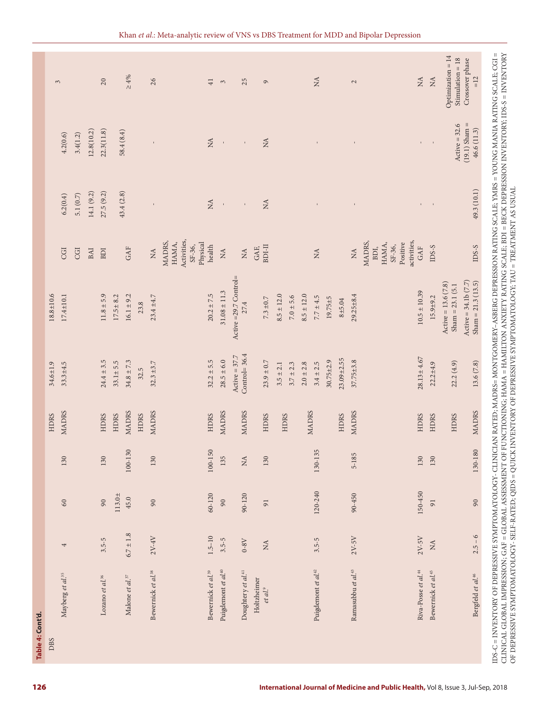| <b>DBS</b> |                                    |                 |                 |                                | <b>HDRS</b>  | 34.6±1.9                           | $18.8 + 10.6$                                |                                                                     |              |                                |                                                            |
|------------|------------------------------------|-----------------|-----------------|--------------------------------|--------------|------------------------------------|----------------------------------------------|---------------------------------------------------------------------|--------------|--------------------------------|------------------------------------------------------------|
|            | Mayberg et al. <sup>35</sup>       | 4               | $60\,$          | 130                            | <b>MADRS</b> | $33.3 + 4.5$                       | $17.4 \pm 10.1$                              | CGI                                                                 | 6.2(0.4)     | 4.2(0.6)                       | $\mathfrak{S}$                                             |
|            |                                    |                 |                 |                                |              |                                    |                                              | CGI                                                                 | 5.1 $(0.7)$  | 3.4(1.2)                       |                                                            |
|            |                                    |                 |                 |                                |              |                                    |                                              |                                                                     |              |                                |                                                            |
|            |                                    |                 |                 |                                |              |                                    |                                              | BAI                                                                 | 14.1 (9.2)   | 12.8(10.2)                     |                                                            |
|            | Lozano et al. <sup>36</sup>        | $3.5 - 5$       | 90              | 130                            | <b>HDRS</b>  | $24.4 \pm 3.5$                     | $11.8 \pm 5.9$                               | BDI                                                                 | 27.5(9.2)    | 22.3(11.8)                     | 20                                                         |
|            |                                    |                 | $113.0 +$       |                                | <b>HDRS</b>  | $33.1 \pm 5.5$                     | $17.5 \pm 8.2$                               |                                                                     |              |                                |                                                            |
|            | Malone et al. <sup>37</sup>        | $6.7 \pm 1.8$   | 45.0            | 100-130                        | <b>MADRS</b> | $34.8 \pm 7.3$                     | $16.1 \pm 9.2$                               | GAF                                                                 | 43.4(2.8)    | 58.4(8.4)                      | $\geq 4\%$                                                 |
|            |                                    |                 |                 |                                | <b>HDRS</b>  | 32.5                               | 23.8                                         |                                                                     |              |                                |                                                            |
|            | Bewernick et al. <sup>38</sup>     | $2V-4V$         | 90              | 130                            | MADRS        | $32.3 \pm 3.7$                     | $23.4 \pm 4.7$                               | $\stackrel{\triangle}{\simeq}$                                      |              |                                | 26                                                         |
|            |                                    |                 |                 |                                |              |                                    |                                              | Activities,<br>MADRS,<br>HAMA,<br>Physical<br>SF-36,                |              |                                |                                                            |
|            | Bewernick et al. <sup>39</sup>     | $1.5 - 10$      | 60-120          | 100-150                        | <b>HDRS</b>  | $32.2 \pm 5.5$                     | $20.2 \pm 7.5$                               | health                                                              | $\lesssim$   | $\mathbb{A}$                   | $\overline{41}$                                            |
|            | Puigdemont et al. <sup>40</sup>    | $3.5 - 5$       | 90              | 135                            | MADRS        | $28.5 \pm 6.0$                     | $31.08 \pm 11.3$                             | $\lesssim$                                                          | $\mathbf{I}$ |                                | $\tilde{3}$                                                |
|            | Doughtery et al. <sup>41</sup>     | $0-8\mathrm{V}$ | 90-120          | $\stackrel{\triangle}{\Sigma}$ | <b>MADRS</b> | Control= $36.4$<br>Active = $37.7$ | Active =29.7 Control=<br>27.4                | $\stackrel{\Delta}{\simeq}$                                         | $\mathbf{I}$ | $\mathbf{I}$                   | 25                                                         |
|            | Holtzheimer<br>et al. <sup>9</sup> | $\lesssim$      | $\overline{91}$ | 130                            | <b>HDRS</b>  | $23.9 \pm 0.7$                     | $7.3\pm0.7$                                  | BDI-II<br>GAF,                                                      | $\tilde{z}$  | $\tilde{z}$                    | $\circ$                                                    |
|            |                                    |                 |                 |                                |              | $3.5 \pm 2.1$                      | $8.5 \pm 12.0$                               |                                                                     |              |                                |                                                            |
|            |                                    |                 |                 |                                | HDRS         | $3.7 \pm 2.3$                      | $7.0 \pm 5.6$                                |                                                                     |              |                                |                                                            |
|            |                                    |                 |                 |                                |              |                                    |                                              |                                                                     |              |                                |                                                            |
|            |                                    |                 |                 |                                | <b>MADRS</b> | $2.0 \pm 2.8$                      | $8.5 \pm 12.0$                               |                                                                     |              |                                |                                                            |
|            | Puigdemont et al. <sup>42</sup>    | $3.5 - 5$       | 120-240         | 130-135                        |              | $3.4 \pm 2.5$                      | $7.7 \pm 4.5$                                | $\mathbb{A}$                                                        |              |                                | $\mathbb{A}$                                               |
|            |                                    |                 |                 |                                |              | $30.75 + 2.9$                      | $19.75 + 5$                                  |                                                                     |              |                                |                                                            |
|            |                                    |                 |                 |                                | <b>HDRS</b>  | $23.09 + 2.55$                     | $8 + 5.04$                                   |                                                                     |              |                                |                                                            |
|            | Ramasubbu et al. <sup>43</sup>     | $2V-5V$         | 90-450          | 5-185                          | <b>MADRS</b> | $37.75 + 3.8$                      | $29.25 \pm 8.4$                              | $\stackrel{\triangle}{\Sigma}$                                      |              |                                | $\mathbf{c}$                                               |
|            | Riva-Posse et al. <sup>44</sup>    | $2V-5V$         | 150-450         | 130                            | HDRS         | $28.13 \pm 4.67$                   | $10.5 \pm 10.39$                             | activities,<br>MADRS,<br>Positive<br>HAMA,<br>SF-36,<br>BDI,<br>GAF | $\mathbf{I}$ |                                | $\stackrel{\triangle}{\Sigma}$                             |
|            | Bewernick et al. <sup>45</sup>     | $\lesssim$      | 91              | 130                            | HDRS         | $22.2 + 4.9$                       | $15.9 + 9.2$                                 | $DSS-S$                                                             | $\mathbf{I}$ | $\mathbf{I}$                   | $\stackrel{\displaystyle\triangle}{\scriptstyle\triangle}$ |
|            |                                    |                 |                 |                                | HDRS         | 22.2(4.9)                          | Active = $13.6(7.8)$<br>$Sham = 23.1 (5.1$   |                                                                     |              | Active = $32.6$                | Optimization = 14<br>$Stimulation = 18$                    |
|            | Bergfeld et al. <sup>46</sup>      | $2.5 - 6$       | $90\,$          | 130-180                        | <b>MADRS</b> | 13.6(7.8)                          | Active = $34.1b(7.7)$<br>$Sham = 21.3(13.5)$ | $DSS-S$                                                             | 49.3 (10.1)  | $(19.1)$ Sham =<br>46.6 (11.3) | Crossover phase<br>$=12$                                   |

OF DEPRESSIVE SYMPTOMATOLOGY- SELF-RATED; QIDS = QUICK INVENTORY OF DEPRESSIVE SYMPTOMATOLOGY; TAU = TREATMENT AS USUAL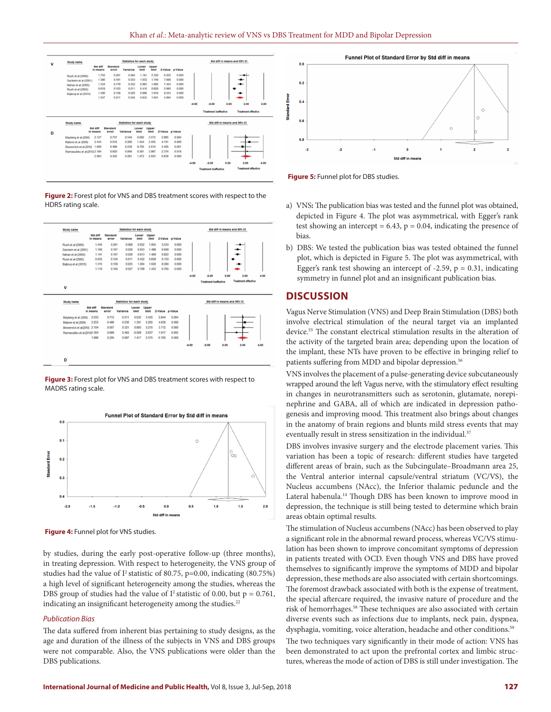

**Figure 2:** Forest plot for VNS and DBS treatment scores with respect to the HDRS rating scale.



**Figure 3:** Forest plot for VNS and DBS treatment scores with respect to MADRS rating scale.



**Figure 4:** Funnel plot for VNS studies.

by studies, during the early post-operative follow-up (three months), in treating depression. With respect to heterogeneity, the VNS group of studies had the value of  $I^2$  statistic of 80.75, p=0.00, indicating (80.75%) a high level of significant heterogeneity among the studies, whereas the DBS group of studies had the value of  $I^2$  statistic of 0.00, but  $p = 0.761$ , indicating an insignificant heterogeneity among the studies.<sup>22</sup>

#### *Publication Bias*

The data suffered from inherent bias pertaining to study designs, as the age and duration of the illness of the subjects in VNS and DBS groups were not comparable. Also, the VNS publications were older than the DBS publications.



**Figure 5:** Funnel plot for DBS studies.

- a) VNS**:** The publication bias was tested and the funnel plot was obtained, depicted in Figure 4. The plot was asymmetrical, with Egger's rank test showing an intercept =  $6.43$ ,  $p = 0.04$ , indicating the presence of bias.
- b) DBS: We tested the publication bias was tested obtained the funnel plot, which is depicted in Figure 5. The plot was asymmetrical, with Egger's rank test showing an intercept of  $-2.59$ ,  $p = 0.31$ , indicating symmetry in funnel plot and an insignificant publication bias.

## **DISCUSSION**

Vagus Nerve Stimulation (VNS) and Deep Brain Stimulation (DBS) both involve electrical stimulation of the neural target via an implanted device.55 The constant electrical stimulation results in the alteration of the activity of the targeted brain area; depending upon the location of the implant, these NTs have proven to be effective in bringing relief to patients suffering from MDD and bipolar depression.<sup>56</sup>

VNS involves the placement of a pulse-generating device subcutaneously wrapped around the left Vagus nerve, with the stimulatory effect resulting in changes in neurotransmitters such as serotonin, glutamate, norepinephrine and GABA, all of which are indicated in depression pathogenesis and improving mood. This treatment also brings about changes in the anatomy of brain regions and blunts mild stress events that may eventually result in stress sensitization in the individual.<sup>57</sup>

DBS involves invasive surgery and the electrode placement varies. This variation has been a topic of research: different studies have targeted different areas of brain, such as the Subcingulate–Broadmann area 25, the Ventral anterior internal capsule/ventral striatum (VC/VS), the Nucleus accumbens (NAcc), the Inferior thalamic peduncle and the Lateral habenula.<sup>14</sup> Though DBS has been known to improve mood in depression, the technique is still being tested to determine which brain areas obtain optimal results.

The stimulation of Nucleus accumbens (NAcc) has been observed to play a significant role in the abnormal reward process, whereas VC/VS stimulation has been shown to improve concomitant symptoms of depression in patients treated with OCD. Even though VNS and DBS have proved themselves to significantly improve the symptoms of MDD and bipolar depression, these methods are also associated with certain shortcomings. The foremost drawback associated with both is the expense of treatment, the special aftercare required, the invasive nature of procedure and the risk of hemorrhages.58 These techniques are also associated with certain diverse events such as infections due to implants, neck pain, dyspnea, dysphagia, vomiting, voice alteration, headache and other conditions.<sup>59</sup>

The two techniques vary significantly in their mode of action: VNS has been demonstrated to act upon the prefrontal cortex and limbic structures, whereas the mode of action of DBS is still under investigation. The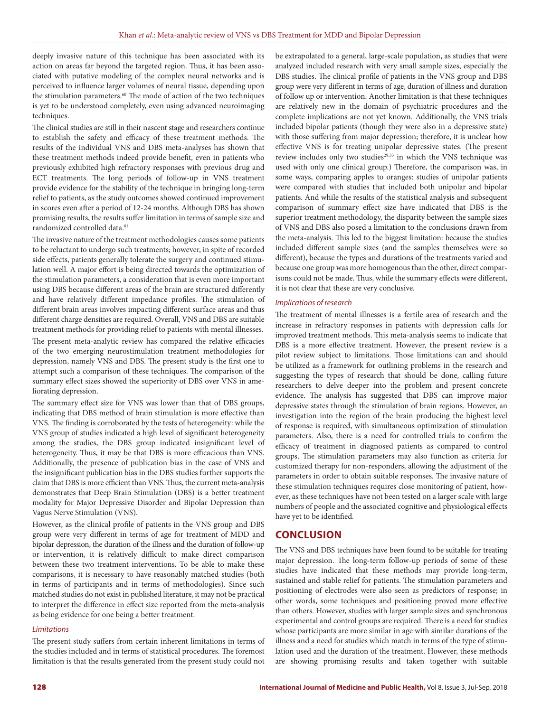deeply invasive nature of this technique has been associated with its action on areas far beyond the targeted region. Thus, it has been associated with putative modeling of the complex neural networks and is perceived to influence larger volumes of neural tissue, depending upon the stimulation parameters.<sup>60</sup> The mode of action of the two techniques is yet to be understood completely, even using advanced neuroimaging techniques.

The clinical studies are still in their nascent stage and researchers continue to establish the safety and efficacy of these treatment methods. The results of the individual VNS and DBS meta-analyses has shown that these treatment methods indeed provide benefit, even in patients who previously exhibited high refractory responses with previous drug and ECT treatments. The long periods of follow-up in VNS treatment provide evidence for the stability of the technique in bringing long-term relief to patients, as the study outcomes showed continued improvement in scores even after a period of 12-24 months. Although DBS has shown promising results, the results suffer limitation in terms of sample size and randomized controlled data.<sup>61</sup>

The invasive nature of the treatment methodologies causes some patients to be reluctant to undergo such treatments; however, in spite of recorded side effects, patients generally tolerate the surgery and continued stimulation well. A major effort is being directed towards the optimization of the stimulation parameters, a consideration that is even more important using DBS because different areas of the brain are structured differently and have relatively different impedance profiles. The stimulation of different brain areas involves impacting different surface areas and thus different charge densities are required. Overall, VNS and DBS are suitable treatment methods for providing relief to patients with mental illnesses.

The present meta-analytic review has compared the relative efficacies of the two emerging neurostimulation treatment methodologies for depression, namely VNS and DBS. The present study is the first one to attempt such a comparison of these techniques. The comparison of the summary effect sizes showed the superiority of DBS over VNS in ameliorating depression.

The summary effect size for VNS was lower than that of DBS groups, indicating that DBS method of brain stimulation is more effective than VNS. The finding is corroborated by the tests of heterogeneity: while the VNS group of studies indicated a high level of significant heterogeneity among the studies, the DBS group indicated insignificant level of heterogeneity. Thus, it may be that DBS is more efficacious than VNS. Additionally, the presence of publication bias in the case of VNS and the insignificant publication bias in the DBS studies further supports the claim that DBS is more efficient than VNS. Thus, the current meta-analysis demonstrates that Deep Brain Stimulation (DBS) is a better treatment modality for Major Depressive Disorder and Bipolar Depression than Vagus Nerve Stimulation (VNS).

However, as the clinical profile of patients in the VNS group and DBS group were very different in terms of age for treatment of MDD and bipolar depression, the duration of the illness and the duration of follow-up or intervention, it is relatively difficult to make direct comparison between these two treatment interventions. To be able to make these comparisons, it is necessary to have reasonably matched studies (both in terms of participants and in terms of methodologies). Since such matched studies do not exist in published literature, it may not be practical to interpret the difference in effect size reported from the meta-analysis as being evidence for one being a better treatment.

#### *Limitations*

The present study suffers from certain inherent limitations in terms of the studies included and in terms of statistical procedures. The foremost limitation is that the results generated from the present study could not

be extrapolated to a general, large-scale population, as studies that were analyzed included research with very small sample sizes, especially the DBS studies. The clinical profile of patients in the VNS group and DBS group were very different in terms of age, duration of illness and duration of follow up or intervention. Another limitation is that these techniques are relatively new in the domain of psychiatric procedures and the complete implications are not yet known. Additionally, the VNS trials included bipolar patients (though they were also in a depressive state) with those suffering from major depression; therefore, it is unclear how effective VNS is for treating unipolar depressive states. (The present review includes only two studies<sup>29,33</sup> in which the VNS technique was used with only one clinical group.) Therefore, the comparison was, in some ways, comparing apples to oranges: studies of unipolar patients were compared with studies that included both unipolar and bipolar patients. And while the results of the statistical analysis and subsequent comparison of summary effect size have indicated that DBS is the superior treatment methodology, the disparity between the sample sizes of VNS and DBS also posed a limitation to the conclusions drawn from the meta-analysis. This led to the biggest limitation: because the studies included different sample sizes (and the samples themselves were so different), because the types and durations of the treatments varied and because one group was more homogenous than the other, direct comparisons could not be made. Thus, while the summary effects were different, it is not clear that these are very conclusive.

#### *Implications of research*

The treatment of mental illnesses is a fertile area of research and the increase in refractory responses in patients with depression calls for improved treatment methods. This meta-analysis seems to indicate that DBS is a more effective treatment. However, the present review is a pilot review subject to limitations. Those limitations can and should be utilized as a framework for outlining problems in the research and suggesting the types of research that should be done, calling future researchers to delve deeper into the problem and present concrete evidence. The analysis has suggested that DBS can improve major depressive states through the stimulation of brain regions. However, an investigation into the region of the brain producing the highest level of response is required, with simultaneous optimization of stimulation parameters. Also, there is a need for controlled trials to confirm the efficacy of treatment in diagnosed patients as compared to control groups. The stimulation parameters may also function as criteria for customized therapy for non-responders, allowing the adjustment of the parameters in order to obtain suitable responses. The invasive nature of these stimulation techniques requires close monitoring of patient, however, as these techniques have not been tested on a larger scale with large numbers of people and the associated cognitive and physiological effects have yet to be identified.

## **CONCLUSION**

The VNS and DBS techniques have been found to be suitable for treating major depression. The long-term follow-up periods of some of these studies have indicated that these methods may provide long-term, sustained and stable relief for patients. The stimulation parameters and positioning of electrodes were also seen as predictors of response; in other words, some techniques and positioning proved more effective than others. However, studies with larger sample sizes and synchronous experimental and control groups are required. There is a need for studies whose participants are more similar in age with similar durations of the illness and a need for studies which match in terms of the type of stimulation used and the duration of the treatment. However, these methods are showing promising results and taken together with suitable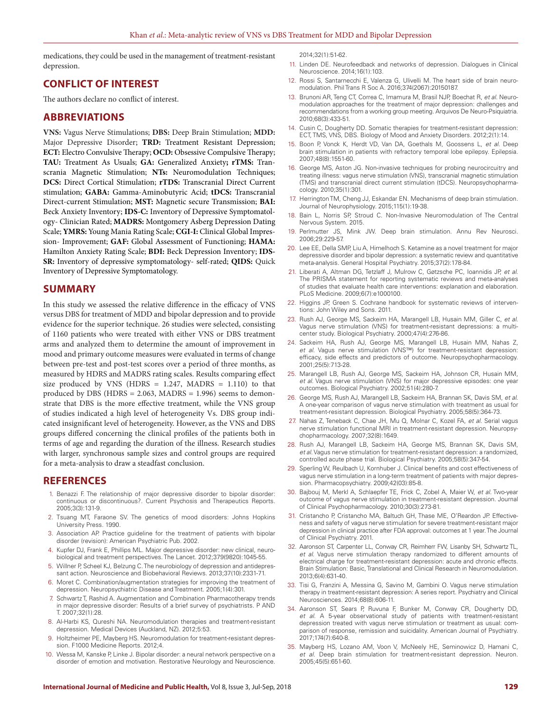medications, they could be used in the management of treatment-resistant depression.

## **CONFLICT OF INTEREST**

The authors declare no conflict of interest.

## **ABBREVIATIONS**

**VNS:** Vagus Nerve Stimulations; **DBS:** Deep Brain Stimulation; **MDD:** Major Depressive Disorder; **TRD:** Treatment Resistant Depression; **ECT:** Electro Convulsive Therapy; **OCD:** Obsessive Compulsive Therapy; **TAU:** Treatment As Usuals; **GA:** Generalized Anxiety**; rTMS:** Transcrania Magnetic Stimulation; **NTs:** Neuromodulation Techniques; **DCS:** Direct Cortical Stimulation; **rTDS:** Transcranial Direct Current stimulation; **GABA:** Gamma-Aminobutyric Acid; **tDCS:** Transcranial Direct-current Stimulation; **MST:** Magnetic secure Transmission; **BAI:** Beck Anxiety Inventory; **IDS-C:** Inventory of Depressive Symptomatology- Clinician Rated; **MADRS:** Montgomery Asberg Depression Dating Scale; **YMRS:** Young Mania Rating Scale; **CGI-I:** Clinical Global Impression- Improvement; **GAF:** Global Assessment of Functioning; **HAMA:** Hamilton Anxiety Rating Scale; **BDI:** Beck Depression Inventory; **IDS-SR:** Inventory of depressive symptomatology- self-rated; **QIDS:** Quick Inventory of Depressive Symptomatology.

## **SUMMARY**

In this study we assessed the relative difference in the efficacy of VNS versus DBS for treatment of MDD and bipolar depression and to provide evidence for the superior technique. 26 studies were selected, consisting of 1160 patients who were treated with either VNS or DBS treatment arms and analyzed them to determine the amount of improvement in mood and primary outcome measures were evaluated in terms of change between pre-test and post-test scores over a period of three months, as measured by HDRS and MADRS rating scales. Results comparing effect size produced by VNS (HDRS =  $1.247$ , MADRS =  $1.110$ ) to that produced by DBS (HDRS =  $2.063$ , MADRS =  $1.996$ ) seems to demonstrate that DBS is the more effective treatment, while the VNS group of studies indicated a high level of heterogeneity Vs. DBS group indicated insignificant level of heterogeneity. However, as the VNS and DBS groups differed concerning the clinical profiles of the patients both in terms of age and regarding the duration of the illness. Research studies with larger, synchronous sample sizes and control groups are required for a meta-analysis to draw a steadfast conclusion.

## **REFERENCES**

- 1. Benazzi F. The relationship of major depressive disorder to bipolar disorder: continuous or discontinuous?. Current Psychosis and Therapeutics Reports. 2005;3(3):131-9.
- 2. Tsuang MT, Faraone SV. The genetics of mood disorders: Johns Hopkins University Press. 1990.
- 3. Association AP. Practice guideline for the treatment of patients with bipolar disorder (revision): American Psychiatric Pub. 2002.
- 4. Kupfer DJ, Frank E, Phillips ML. Major depressive disorder: new clinical, neurobiological and treatment perspectives. The Lancet. 2012;379(9820):1045-55.
- 5. Willner P, Scheel KJ, Belzung C. The neurobiology of depression and antidepressant action. Neuroscience and Biobehavioral Reviews. 2013;37(10):2331-71.
- 6. Moret C. Combination/augmentation strategies for improving the treatment of depression. Neuropsychiatric Disease and Treatment. 2005;1(4):301.
- 7. Schwartz T, Rashid A. Augmentation and Combination Pharmacotherapy trends in major depressive disorder: Results of a brief survey of psychiatrists. P AND T. 2007;32(1):28.
- 8. Al-Harbi KS, Qureshi NA. Neuromodulation therapies and treatment-resistant depression. Medical Devices (Auckland, NZ). 2012;5:53.
- 9. Holtzheimer PE, Mayberg HS. Neuromodulation for treatment-resistant depression. F1000 Medicine Reports. 2012;4.
- 10. Wessa M, Kanske P, Linke J. Bipolar disorder: a neural network perspective on a disorder of emotion and motivation. Restorative Neurology and Neuroscience.

2014;32(1):51-62.

- 11. Linden DE. Neurofeedback and networks of depression. Dialogues in Clinical Neuroscience. 2014;16(1):103.
- 12. Rossi S, Santarnecchi E, Valenza G, Ulivelli M. The heart side of brain neuromodulation. Phil Trans R Soc A. 2016;374(2067):20150187.
- 13. Brunoni AR, Teng CT, Correa C, Imamura M, Brasil NJP, Boechat R, *et al*. Neuromodulation approaches for the treatment of major depression: challenges and recommendations from a working group meeting. Arquivos De Neuro-Psiquiatria. 2010;68(3):433-51.
- 14. Cusin C, Dougherty DD. Somatic therapies for treatment-resistant depression: ECT, TMS, VNS, DBS. Biology of Mood and Anxiety Disorders. 2012;2(1):14.
- 15. Boon P, Vonck K, Herdt VD, Van DA, Goethals M, Goossens L, *et al*. Deep brain stimulation in patients with refractory temporal lobe epilepsy. Epilepsia. 2007;48(8):1551-60.
- 16. George MS, Aston JG. Non-invasive techniques for probing neurocircuitry and treating illness: vagus nerve stimulation (VNS), transcranial magnetic stimulation (TMS) and transcranial direct current stimulation (tDCS). Neuropsychopharmacology. 2010;35(1):301.
- 17. Herrington TM, Cheng JJ, Eskandar EN. Mechanisms of deep brain stimulation. Journal of Neurophysiology. 2015;115(1):19-38.
- 18. Bain L, Norris SP, Stroud C. Non-Invasive Neuromodulation of The Central Nervous System. 2015.
- Perlmutter JS, Mink JW. Deep brain stimulation. Annu Rev Neurosci. 2006;29:229-57.
- 20. Lee EE, Della SMP, Liu A, Himelhoch S. Ketamine as a novel treatment for major depressive disorder and bipolar depression: a systematic review and quantitative meta-analysis. General Hospital Psychiatry. 2015;37(2):178-84.
- 21. Liberati A, Altman DG, Tetzlaff J, Mulrow C, Gøtzsche PC, Ioannidis JP, *et al*. The PRISMA statement for reporting systematic reviews and meta-analyses of studies that evaluate health care interventions: explanation and elaboration. PLoS Medicine. 2009;6(7):e1000100.
- 22. Higgins JP, Green S. Cochrane handbook for systematic reviews of interventions: John Wiley and Sons. 2011.
- 23. Rush AJ, George MS, Sackeim HA, Marangell LB, Husain MM, Giller C, *et al*. Vagus nerve stimulation (VNS) for treatment-resistant depressions: a multicenter study. Biological Psychiatry. 2000;47(4):276-86.
- 24. Sackeim HA, Rush AJ, George MS, Marangell LB, Husain MM, Nahas Z, *et al*. Vagus nerve stimulation (VNS™) for treatment-resistant depression: efficacy, side effects and predictors of outcome. Neuropsychopharmacology. 2001;25(5):713-28.
- 25. Marangell LB, Rush AJ, George MS, Sackeim HA, Johnson CR, Husain MM, *et al*. Vagus nerve stimulation (VNS) for major depressive episodes: one year outcomes. Biological Psychiatry. 2002;51(4):280-7.
- 26. George MS, Rush AJ, Marangell LB, Sackeim HA, Brannan SK, Davis SM, *et al*. A one-year comparison of vagus nerve stimulation with treatment as usual for treatment-resistant depression. Biological Psychiatry. 2005;58(5):364-73.
- 27. Nahas Z, Teneback C, Chae JH, Mu Q, Molnar C, Kozel FA, *et al*. Serial vagus nerve stimulation functional MRI in treatment-resistant depression. Neuropsychopharmacology. 2007;32(8):1649.
- 28. Rush AJ, Marangell LB, Sackeim HA, George MS, Brannan SK, Davis SM, *et al*. Vagus nerve stimulation for treatment-resistant depression: a randomized, controlled acute phase trial. Biological Psychiatry. 2005;58(5):347-54.
- 29. Sperling W, Reulbach U, Kornhuber J. Clinical benefits and cost effectiveness of vagus nerve stimulation in a long-term treatment of patients with major depression. Pharmacopsychiatry. 2009;42(03):85-8.
- 30. Bajbouj M, Merkl A, Schlaepfer TE, Frick C, Zobel A, Maier W, *et al*. Two-year outcome of vagus nerve stimulation in treatment-resistant depression. Journal of Clinical Psychopharmacology. 2010;30(3):273-81.
- 31. Cristancho P, Cristancho MA, Baltuch GH, Thase ME, O'Reardon JP. Effectiveness and safety of vagus nerve stimulation for severe treatment-resistant major depression in clinical practice after FDA approval: outcomes at 1 year. The Journal of Clinical Psychiatry. 2011.
- 32. Aaronson ST, Carpenter LL, Conway CR, Reimherr FW, Lisanby SH, Schwartz TL, *et al*. Vagus nerve stimulation therapy randomized to different amounts of electrical charge for treatment-resistant depression: acute and chronic effects. Brain Stimulation: Basic, Translational and Clinical Research in Neuromodulation. 2013;6(4):631-40.
- 33. Tisi G, Franzini A, Messina G, Savino M, Gambini O. Vagus nerve stimulation therapy in treatment‐resistant depression: A series report. Psychiatry and Clinical Neurosciences. 2014;68(8):606-11.
- 34. Aaronson ST, Sears P, Ruvuna F, Bunker M, Conway CR, Dougherty DD, *et al*. A 5-year observational study of patients with treatment-resistant depression treated with vagus nerve stimulation or treatment as usual: comparison of response, remission and suicidality. American Journal of Psychiatry. 2017;174(7):640-8.
- 35. Mayberg HS, Lozano AM, Voon V, McNeely HE, Seminowicz D, Hamani C, *et al*. Deep brain stimulation for treatment-resistant depression. Neuron. 2005;45(5):651-60.